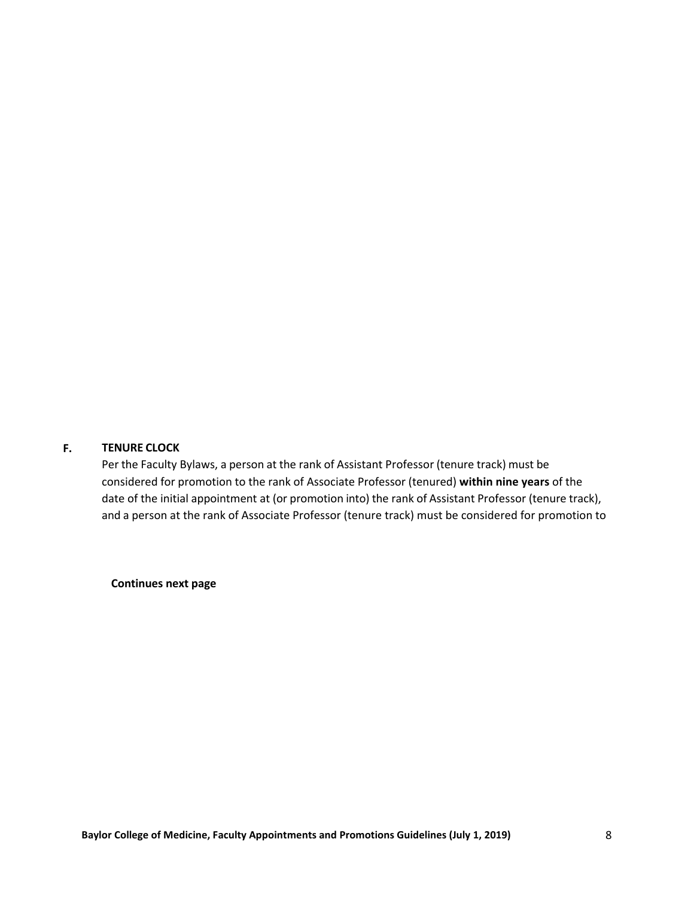## **TENURE CLOCK F.**

Per the Faculty Bylaws, a person at the rank of Assistant Professor (tenure track) must be considered for promotion to the rank of Associate Professor (tenured) **within nine years** of the date of the initial appointment at (or promotion into) the rank of Assistant Professor (tenure track), and a person at the rank of Associate Professor (tenure track) must be considered for promotion to

**Continues next page**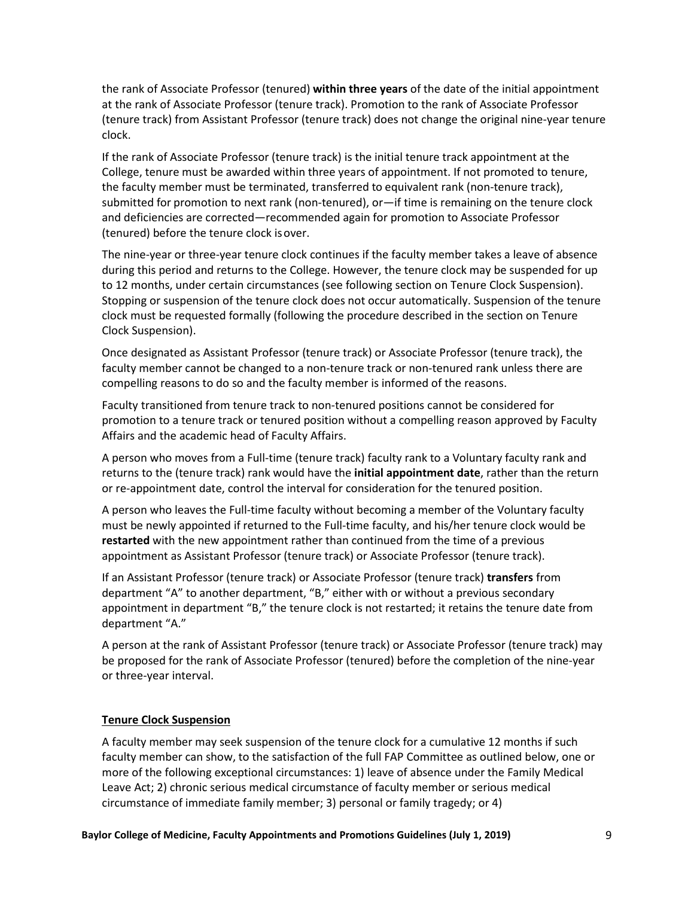the rank of Associate Professor (tenured) **within three years** of the date of the initial appointment at the rank of Associate Professor (tenure track). Promotion to the rank of Associate Professor (tenure track) from Assistant Professor (tenure track) does not change the original nine-year tenure clock.

If the rank of Associate Professor (tenure track) is the initial tenure track appointment at the College, tenure must be awarded within three years of appointment. If not promoted to tenure, the faculty member must be terminated, transferred to equivalent rank (non-tenure track), submitted for promotion to next rank (non-tenured), or—if time is remaining on the tenure clock and deficiencies are corrected—recommended again for promotion to Associate Professor (tenured) before the tenure clock isover.

The nine-year or three-year tenure clock continues if the faculty member takes a leave of absence during this period and returns to the College. However, the tenure clock may be suspended for up to 12 months, under certain circumstances (see following section on Tenure Clock Suspension). Stopping or suspension of the tenure clock does not occur automatically. Suspension of the tenure clock must be requested formally (following the procedure described in the section on Tenure Clock Suspension).

Once designated as Assistant Professor (tenure track) or Associate Professor (tenure track), the faculty member cannot be changed to a non-tenure track or non-tenured rank unless there are compelling reasons to do so and the faculty member is informed of the reasons.

Faculty transitioned from tenure track to non-tenured positions cannot be considered for promotion to a tenure track or tenured position without a compelling reason approved by Faculty Affairs and the academic head of Faculty Affairs.

A person who moves from a Full-time (tenure track) faculty rank to a Voluntary faculty rank and returns to the (tenure track) rank would have the **initial appointment date**, rather than the return or re-appointment date, control the interval for consideration for the tenured position.

A person who leaves the Full-time faculty without becoming a member of the Voluntary faculty must be newly appointed if returned to the Full-time faculty, and his/her tenure clock would be **restarted** with the new appointment rather than continued from the time of a previous appointment as Assistant Professor (tenure track) or Associate Professor (tenure track).

If an Assistant Professor (tenure track) or Associate Professor (tenure track) **transfers** from department "A" to another department, "B," either with or without a previous secondary appointment in department "B," the tenure clock is not restarted; it retains the tenure date from department "A."

A person at the rank of Assistant Professor (tenure track) or Associate Professor (tenure track) may be proposed for the rank of Associate Professor (tenured) before the completion of the nine-year or three-year interval.

## **Tenure Clock Suspension**

A faculty member may seek suspension of the tenure clock for a cumulative 12 months if such faculty member can show, to the satisfaction of the full FAP Committee as outlined below, one or more of the following exceptional circumstances: 1) leave of absence under the Family Medical Leave Act; 2) chronic serious medical circumstance of faculty member or serious medical circumstance of immediate family member; 3) personal or family tragedy; or 4)